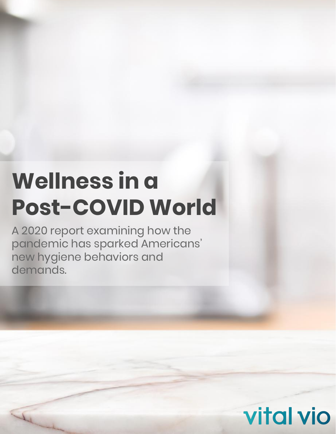# **Wellness in a Post-COVID World**

A 2020 report examining how the pandemic has sparked Americans' new hygiene behaviors and demands.

**vital vio**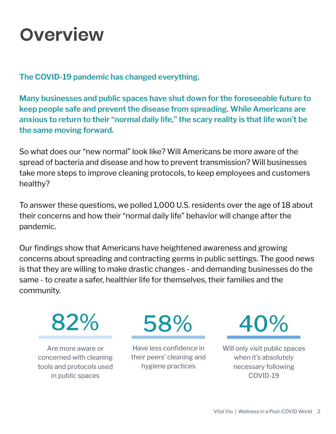### **Overview**

**The COVID-19 pandemic has changed everything.** 

**Many businesses and public spaces have shut down for the foreseeable future to keep people safe and prevent the disease from spreading. While Americans are anxious to return to their "normal daily life," the scary reality is that life won't be the same moving forward.**

So what does our "new normal" look like? Will Americans be more aware of the spread of bacteria and disease and how to prevent transmission? Will businesses take more steps to improve cleaning protocols, to keep employees and customers healthy?

To answer these questions, we polled 1,000 U.S. residents over the age of 18 about their concerns and how their "normal daily life" behavior will change after the pandemic.

Our findings show that Americans have heightened awareness and growing concerns about spreading and contracting germs in public settings. The good news is that they are willing to make drastic changes - and demanding businesses do the same - to create a safer, healthier life for themselves, their families and the community.

82%

Are more aware or concerned with cleaning tools and protocols used in public spaces

58%

Have less confidence in their peers' cleaning and hygiene practices

40%

Will only visit public spaces when it's absolutely necessary following COVID-19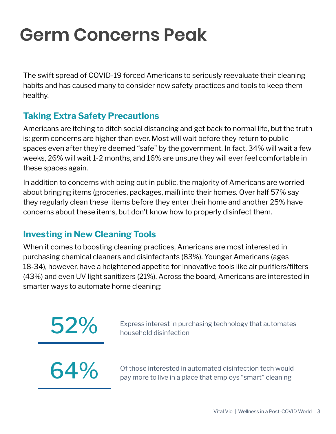### **Germ Concerns Peak**

The swift spread of COVID-19 forced Americans to seriously reevaluate their cleaning habits and has caused many to consider new safety practices and tools to keep them healthy.

#### **Taking Extra Safety Precautions**

Americans are itching to ditch social distancing and get back to normal life, but the truth is: germ concerns are higher than ever. Most will wait before they return to public spaces even after they're deemed "safe" by the government. In fact, 34% will wait a few weeks, 26% will wait 1-2 months, and 16% are unsure they will ever feel comfortable in these spaces again.

In addition to concerns with being out in public, the majority of Americans are worried about bringing items (groceries, packages, mail) into their homes. Over half 57% say they regularly clean these items before they enter their home and another 25% have concerns about these items, but don't know how to properly disinfect them.

#### **Investing in New Cleaning Tools**

When it comes to boosting cleaning practices, Americans are most interested in purchasing chemical cleaners and disinfectants (83%). Younger Americans (ages 18-34), however, have a heightened appetite for innovative tools like air purifiers/filters (43%) and even UV light sanitizers (21%). Across the board, Americans are interested in smarter ways to automate home cleaning:

Express interest in purchasing technology that automates household disinfection



64% Of those interested in automated disinfection tech would pay more to live in a place that employs "smart" cleaning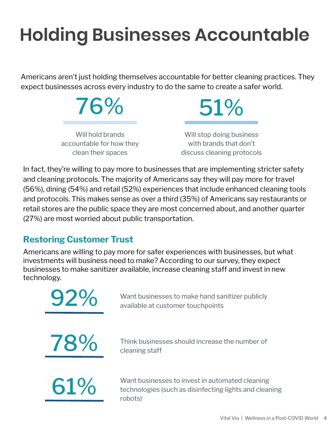### **Holding Businesses Accountable**

Americans aren't just holding themselves accountable for better cleaning practices. They expect businesses across every industry to do the same to create a safer world.



In fact, they're willing to pay more to businesses that are implementing stricter safety and cleaning protocols. The majority of Americans say they will pay more for travel (56%), dining (54%) and retail (52%) experiences that include enhanced cleaning tools and protocols. This makes sense as over a third (35%) of Americans say restaurants or retail stores are the public space they are most concerned about, and another quarter (27%) are most worried about public transportation.

#### **Restoring Customer Trust**

Americans are willing to pay more for safer experiences with businesses, but what investments will business need to make? According to our survey, they expect businesses to make sanitizer available, increase cleaning staff and invest in new technology.



**78%** Think businesses should increase the number of cleaning staff

Want businesses to invest in automated cleaning<br>technologies (such as disinfecting lights and clear<br>robots) technologies (such as disinfecting lights and cleaning robots)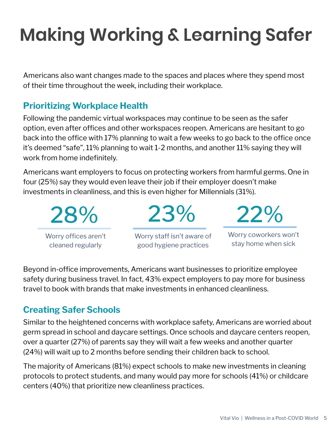## **Making Working & Learning Safer**

Americans also want changes made to the spaces and places where they spend most of their time throughout the week, including their workplace.

#### **Prioritizing Workplace Health**

Following the pandemic virtual workspaces may continue to be seen as the safer option, even after offices and other workspaces reopen. Americans are hesitant to go back into the office with 17% planning to wait a few weeks to go back to the office once it's deemed "safe", 11% planning to wait 1-2 months, and another 11% saying they will work from home indefinitely.

Americans want employers to focus on protecting workers from harmful germs. One in four (25%) say they would even leave their job if their employer doesn't make investments in cleanliness, and this is even higher for Millennials (31%).

28% Worry offices aren't cleaned regularly

Worry staff isn't aware of good hygiene practices

23%

22%

Worry coworkers won't stay home when sick

Beyond in-office improvements, Americans want businesses to prioritize employee safety during business travel. In fact, 43% expect employers to pay more for business travel to book with brands that make investments in enhanced cleanliness.

#### **Creating Safer Schools**

Similar to the heightened concerns with workplace safety, Americans are worried about germ spread in school and daycare settings. Once schools and daycare centers reopen, over a quarter (27%) of parents say they will wait a few weeks and another quarter (24%) will wait up to 2 months before sending their children back to school.

The majority of Americans (81%) expect schools to make new investments in cleaning protocols to protect students, and many would pay more for schools (41%) or childcare centers (40%) that prioritize new cleanliness practices.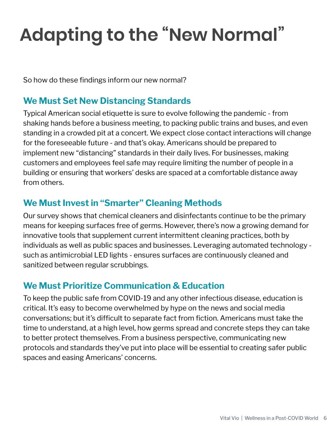## **Adapting to the "New Normal"**

So how do these findings inform our new normal?

#### **We Must Set New Distancing Standards**

Typical American social etiquette is sure to evolve following the pandemic - from shaking hands before a business meeting, to packing public trains and buses, and even standing in a crowded pit at a concert. We expect close contact interactions will change for the foreseeable future - and that's okay. Americans should be prepared to implement new "distancing" standards in their daily lives. For businesses, making customers and employees feel safe may require limiting the number of people in a building or ensuring that workers' desks are spaced at a comfortable distance away from others.

#### **We Must Invest in "Smarter" Cleaning Methods**

Our survey shows that chemical cleaners and disinfectants continue to be the primary means for keeping surfaces free of germs. However, there's now a growing demand for innovative tools that supplement current intermittent cleaning practices, both by individuals as well as public spaces and businesses. Leveraging automated technology such as antimicrobial LED lights - ensures surfaces are continuously cleaned and sanitized between regular scrubbings.

#### **We Must Prioritize Communication & Education**

To keep the public safe from COVID-19 and any other infectious disease, education is critical. It's easy to become overwhelmed by hype on the news and social media conversations; but it's difficult to separate fact from fiction. Americans must take the time to understand, at a high level, how germs spread and concrete steps they can take to better protect themselves. From a business perspective, communicating new protocols and standards they've put into place will be essential to creating safer public spaces and easing Americans' concerns.